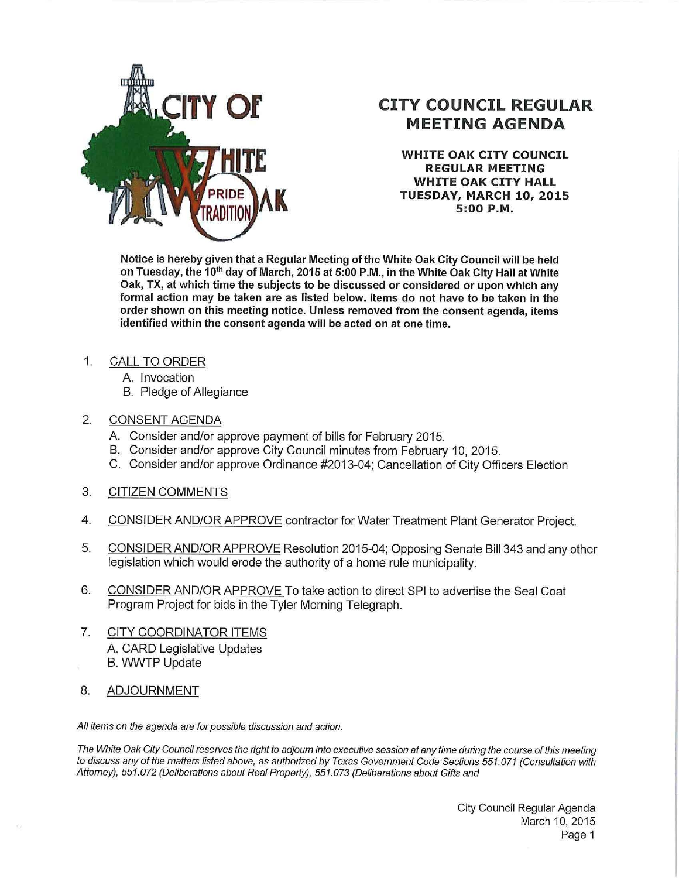

## **CITY COUNCIL REGULAR MEETING AGENDA**

**WHITE OAK CITY COUNCIL REGULAR MEETING WHITE OAK CITY HALL TUESDAY, MARCH 10, 2015 5:00 P.M.** 

**Notice is hereby given that a Regular Meeting of the White Oak City Council will be held on Tuesday, the 10th day of March, 2015 at 5:00 P.M., in the White Oak City Hall at White Oak, TX, at which time the subjects to be discussed or considered or upon which any formal action may be taken are as listed below. Items do not have to be taken in the order shown on this meeting notice. Unless removed from the consent agenda, items identified within the consent agenda will be acted on at one time.** 

- 1. CALL TO ORDER
	- A. Invocation
	- B. Pledge of Allegiance
- 2. CONSENT AGENDA
	- A. Consider and/or approve payment of bills for February 2015.
	- B. Consider and/or approve City Council minutes from February 10, 2015.
	- C. Consider and/or approve Ordinance #2013-04; Cancellation of City Officers Election
- 3. CITIZEN COMMENTS
- 4. CONSIDER AND/OR APPROVE contractor for Water Treatment Plant Generator Project.
- 5. CONSIDER AND/OR APPROVE Resolution 2015-04; Opposing Senate Bill 343 and any other legislation which would erode the authority of a home rule municipality.
- 6. CONSIDER AND/OR APPROVE To take action to direct SPI to advertise the Seal Coat Program Project for bids in the Tyler Morning Telegraph.
- 7. CITY COORDINATOR ITEMS A. CARD Legislative Updates B. WWTP Update
- 8. ADJOURNMENT

All items on the agenda are for possible discussion and action.

The White Oak City Council reserves the right to adjourn into executive session at any time during the course of this meeting to discuss any ofthe matters listed above, as authorized by Texas Government Code Sections 551.071 (Consultation with Attorney), 551.072 (Deliberations about Real Property), 551.073 (Deliberations about Gifts and